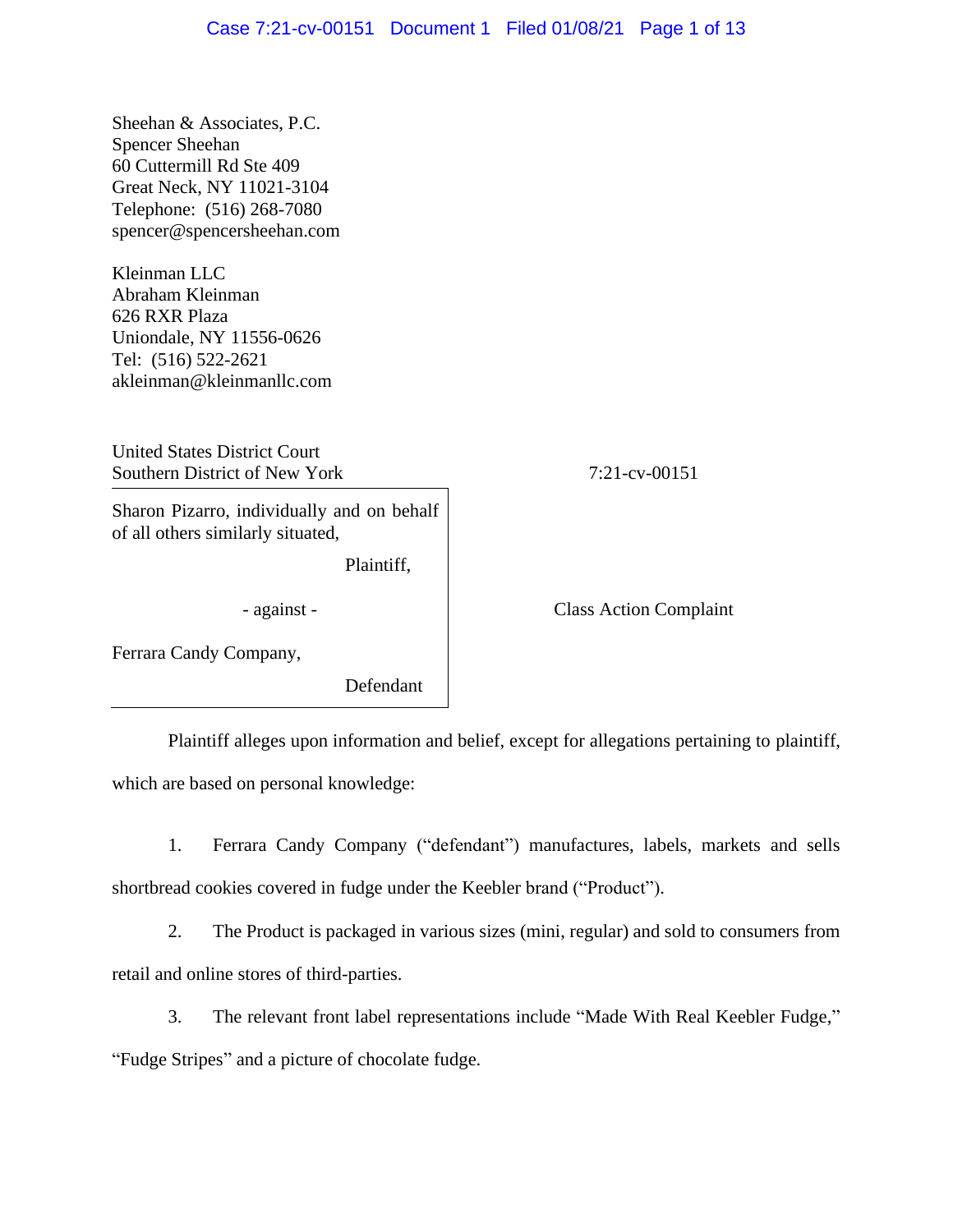Sheehan & Associates, P.C. Spencer Sheehan 60 Cuttermill Rd Ste 409 Great Neck, NY 11021-3104 Telephone: (516) 268-7080 spencer@spencersheehan.com

Kleinman LLC Abraham Kleinman 626 RXR Plaza Uniondale, NY 11556-0626 Tel: (516) 522-2621 akleinman@kleinmanllc.com

United States District Court Southern District of New York 7:21-cv-00151

Sharon Pizarro, individually and on behalf of all others similarly situated,

Plaintiff,

- against - Class Action Complaint

Ferrara Candy Company,

Defendant

Plaintiff alleges upon information and belief, except for allegations pertaining to plaintiff, which are based on personal knowledge:

1. Ferrara Candy Company ("defendant") manufactures, labels, markets and sells shortbread cookies covered in fudge under the Keebler brand ("Product").

2. The Product is packaged in various sizes (mini, regular) and sold to consumers from retail and online stores of third-parties.

3. The relevant front label representations include "Made With Real Keebler Fudge,"

"Fudge Stripes" and a picture of chocolate fudge.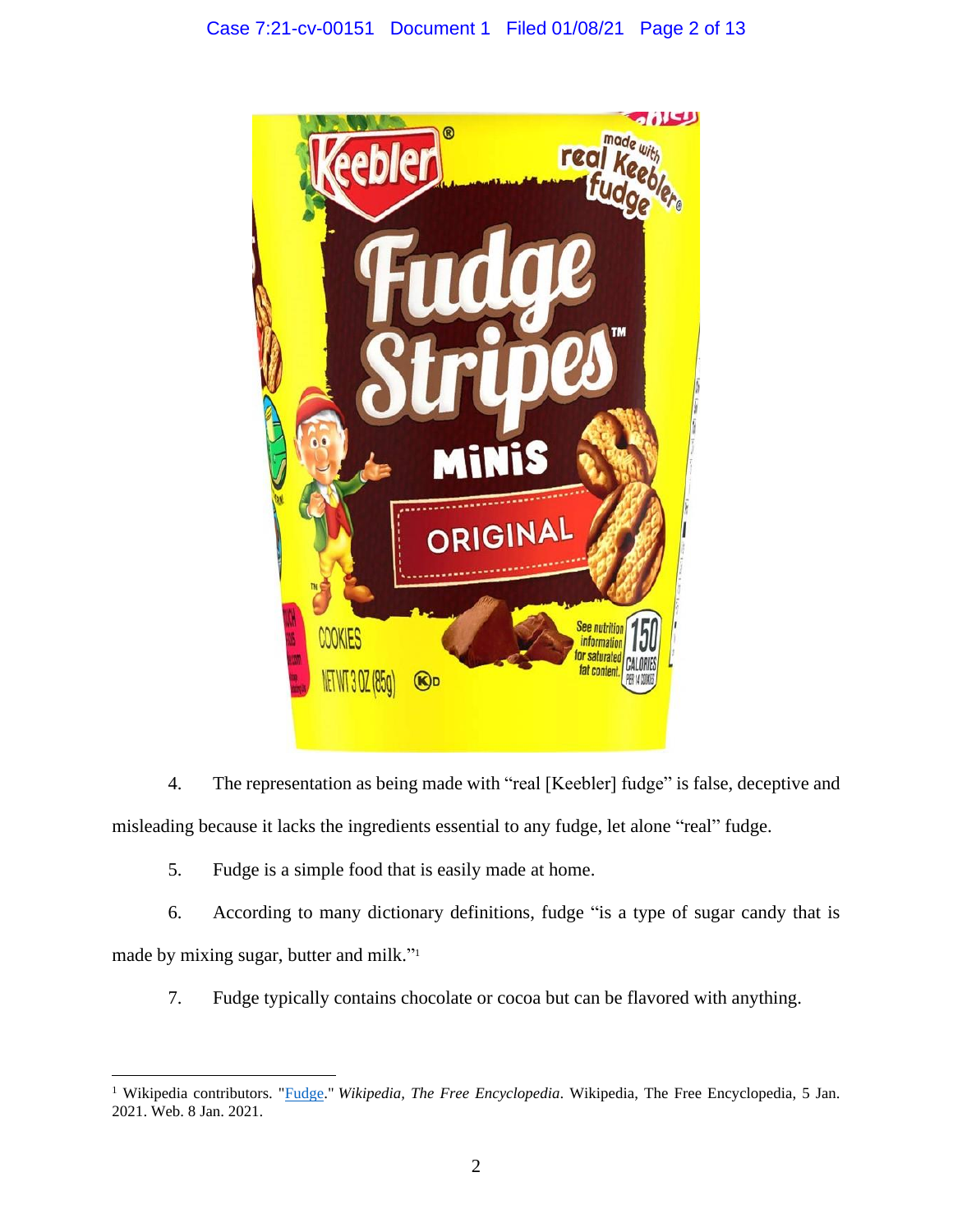

4. The representation as being made with "real [Keebler] fudge" is false, deceptive and misleading because it lacks the ingredients essential to any fudge, let alone "real" fudge.

5. Fudge is a simple food that is easily made at home.

6. According to many dictionary definitions, fudge "is a type of sugar candy that is made by mixing sugar, butter and milk." 1

7. Fudge typically contains chocolate or cocoa but can be flavored with anything.

<sup>&</sup>lt;sup>1</sup> Wikipedia contributors. "*Fudge." Wikipedia, The Free Encyclopedia*. Wikipedia, The Free Encyclopedia, 5 Jan. 2021. Web. 8 Jan. 2021.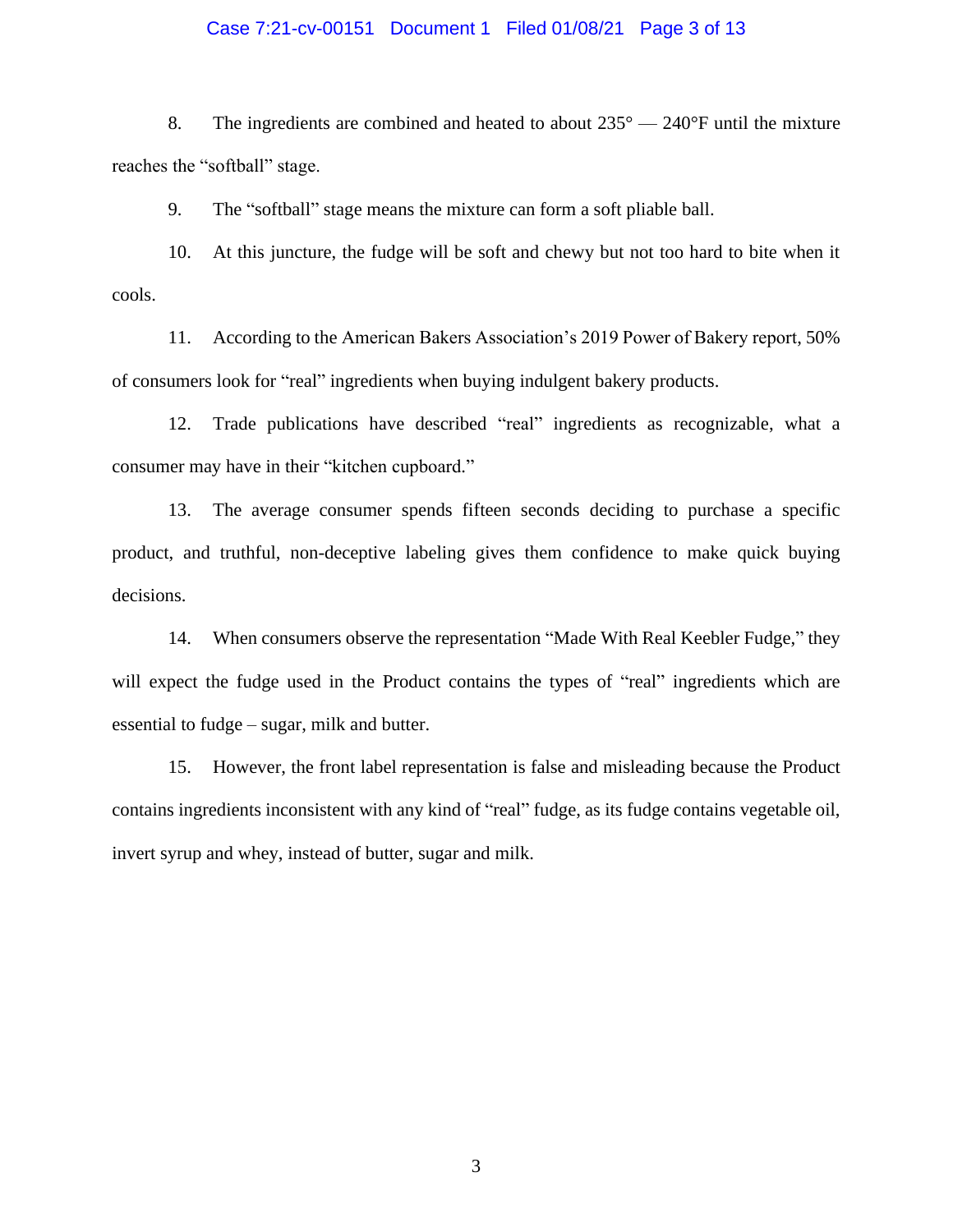### Case 7:21-cv-00151 Document 1 Filed 01/08/21 Page 3 of 13

8. The ingredients are combined and heated to about  $235^{\circ} - 240^{\circ}$ F until the mixture reaches the "softball" stage.

9. The "softball" stage means the mixture can form a soft pliable ball.

10. At this juncture, the fudge will be soft and chewy but not too hard to bite when it cools.

11. According to the American Bakers Association's 2019 Power of Bakery report, 50% of consumers look for "real" ingredients when buying indulgent bakery products.

12. Trade publications have described "real" ingredients as recognizable, what a consumer may have in their "kitchen cupboard."

13. The average consumer spends fifteen seconds deciding to purchase a specific product, and truthful, non-deceptive labeling gives them confidence to make quick buying decisions.

14. When consumers observe the representation "Made With Real Keebler Fudge," they will expect the fudge used in the Product contains the types of "real" ingredients which are essential to fudge – sugar, milk and butter.

15. However, the front label representation is false and misleading because the Product contains ingredients inconsistent with any kind of "real" fudge, as its fudge contains vegetable oil, invert syrup and whey, instead of butter, sugar and milk.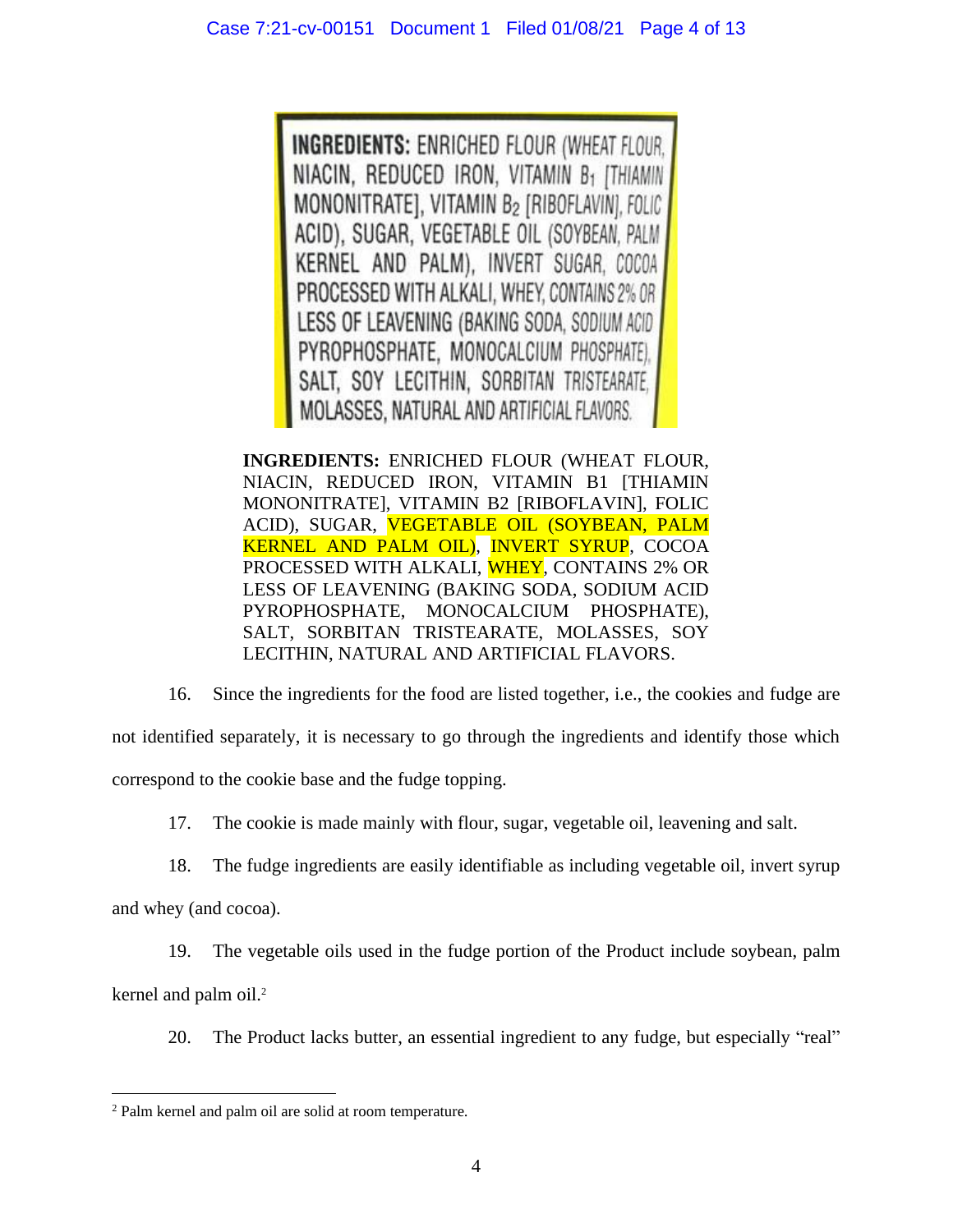**INGREDIENTS: ENRICHED FLOUR (WHEAT FLOUR,** NIACIN, REDUCED IRON, VITAMIN B1 [THIAMIN MONONITRATE], VITAMIN B2 [RIBOFLAVIN], FOLIC ACID), SUGAR, VEGETABLE OIL (SOYBEAN, PALM KERNEL AND PALM), INVERT SUGAR, COCOA PROCESSED WITH ALKALI, WHEY, CONTAINS 2% OR LESS OF LEAVENING (BAKING SODA, SODIUM ACID PYROPHOSPHATE, MONOCALCIUM PHOSPHATE), SALT, SOY LECITHIN, SORBITAN TRISTEARATE, MOLASSES, NATURAL AND ARTIFICIAL FLAVORS.

**INGREDIENTS:** ENRICHED FLOUR (WHEAT FLOUR, NIACIN, REDUCED IRON, VITAMIN B1 [THIAMIN MONONITRATE], VITAMIN B2 [RIBOFLAVIN], FOLIC ACID), SUGAR, VEGETABLE OIL (SOYBEAN, PALM KERNEL AND PALM OIL), INVERT SYRUP, COCOA PROCESSED WITH ALKALI, WHEY, CONTAINS 2% OR LESS OF LEAVENING (BAKING SODA, SODIUM ACID PYROPHOSPHATE, MONOCALCIUM PHOSPHATE), SALT, SORBITAN TRISTEARATE, MOLASSES, SOY LECITHIN, NATURAL AND ARTIFICIAL FLAVORS.

16. Since the ingredients for the food are listed together, i.e., the cookies and fudge are not identified separately, it is necessary to go through the ingredients and identify those which correspond to the cookie base and the fudge topping.

17. The cookie is made mainly with flour, sugar, vegetable oil, leavening and salt.

18. The fudge ingredients are easily identifiable as including vegetable oil, invert syrup

and whey (and cocoa).

19. The vegetable oils used in the fudge portion of the Product include soybean, palm kernel and palm oil.<sup>2</sup>

20. The Product lacks butter, an essential ingredient to any fudge, but especially "real"

<sup>2</sup> Palm kernel and palm oil are solid at room temperature.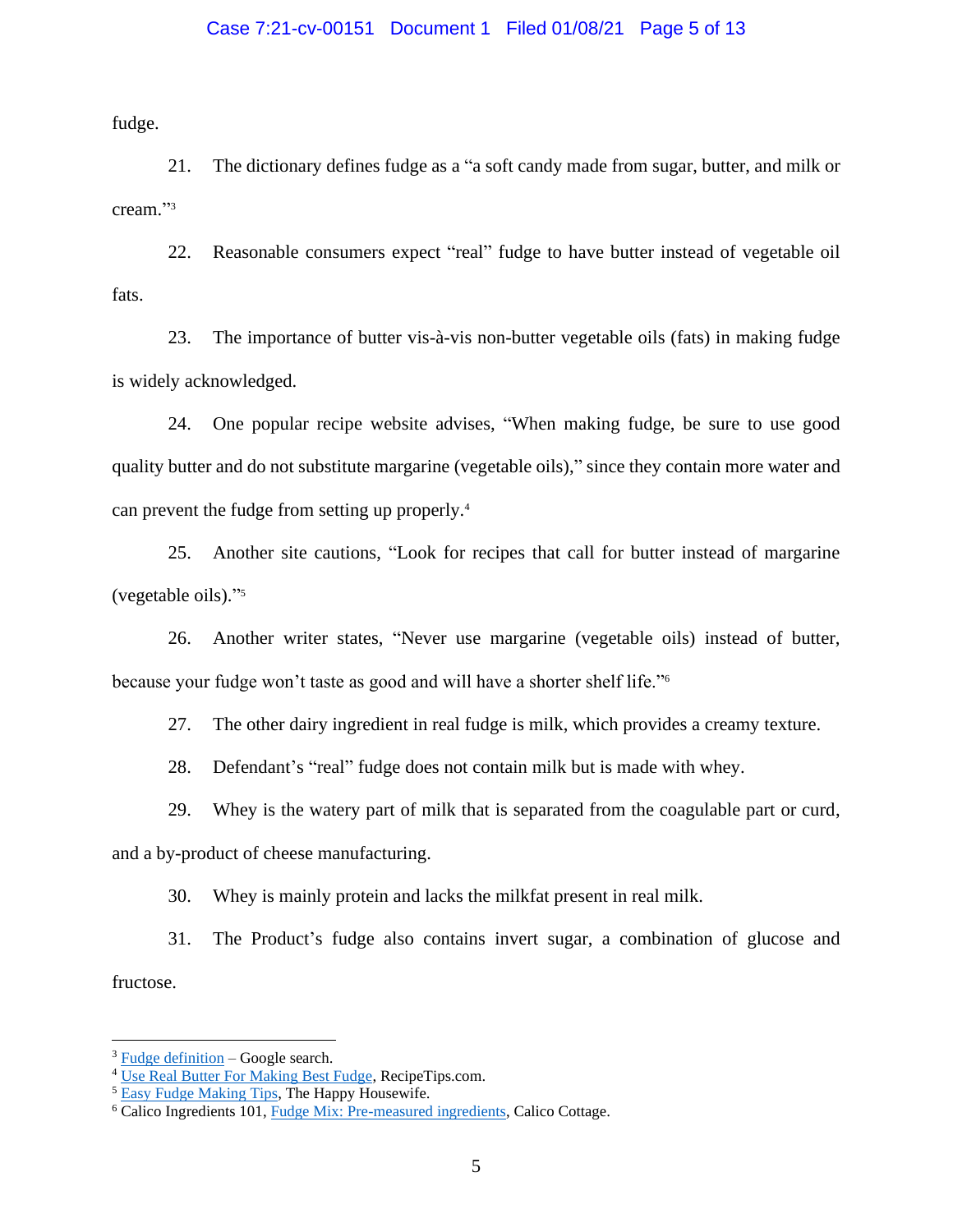### Case 7:21-cv-00151 Document 1 Filed 01/08/21 Page 5 of 13

fudge.

21. The dictionary defines fudge as a "a soft candy made from sugar, butter, and milk or cream." 3

22. Reasonable consumers expect "real" fudge to have butter instead of vegetable oil fats.

23. The importance of butter vis-à-vis non-butter vegetable oils (fats) in making fudge is widely acknowledged.

24. One popular recipe website advises, "When making fudge, be sure to use good quality butter and do not substitute margarine (vegetable oils)," since they contain more water and can prevent the fudge from setting up properly.<sup>4</sup>

25. Another site cautions, "Look for recipes that call for butter instead of margarine (vegetable oils)." 5

26. Another writer states, "Never use margarine (vegetable oils) instead of butter, because your fudge won't taste as good and will have a shorter shelf life." 6

27. The other dairy ingredient in real fudge is milk, which provides a creamy texture.

28. Defendant's "real" fudge does not contain milk but is made with whey.

29. Whey is the watery part of milk that is separated from the coagulable part or curd,

and a by-product of cheese manufacturing.

30. Whey is mainly protein and lacks the milkfat present in real milk.

31. The Product's fudge also contains invert sugar, a combination of glucose and fructose.

 $3$  [Fudge definition](https://www.google.com/search?q=fudge+definition&rlz=1C1GCEA_enUS893US893&oq=fudge+defi&aqs=chrome.0.0i457j69i57j0j0i22i30j0i22i30i395l6.1835j1j9&sourceid=chrome&ie=UTF-8) – Google search.

<sup>&</sup>lt;sup>4</sup> [Use Real Butter For Making Best Fudge,](https://www.recipetips.com/quick-tips-ideas/use-real-butter-for-making-best-fudge.asp) RecipeTips.com.

<sup>&</sup>lt;sup>5</sup> [Easy Fudge Making Tips,](https://thehappyhousewife.com/cooking/easy-fudge-making-tips/) The Happy Housewife.

<sup>6</sup> Calico Ingredients 101, [Fudge Mix: Pre-measured ingredients,](https://www.calicocottage.com/make-kettle-fudge/fudge-nutrition-ingredients/only-the-best-whats-inside-our-fabulous-fudge) Calico Cottage.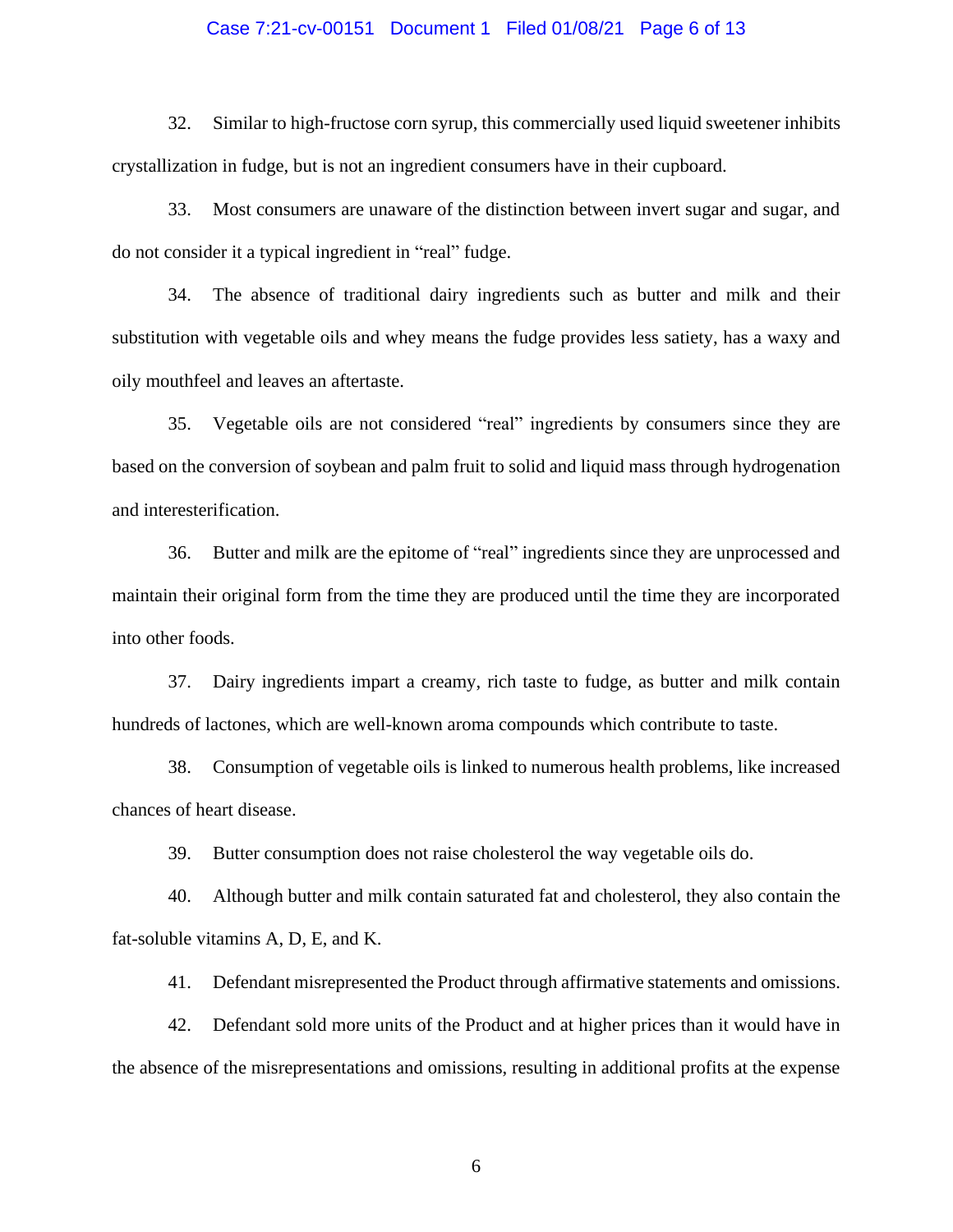### Case 7:21-cv-00151 Document 1 Filed 01/08/21 Page 6 of 13

32. Similar to high-fructose corn syrup, this commercially used liquid sweetener inhibits crystallization in fudge, but is not an ingredient consumers have in their cupboard.

33. Most consumers are unaware of the distinction between invert sugar and sugar, and do not consider it a typical ingredient in "real" fudge.

34. The absence of traditional dairy ingredients such as butter and milk and their substitution with vegetable oils and whey means the fudge provides less satiety, has a waxy and oily mouthfeel and leaves an aftertaste.

35. Vegetable oils are not considered "real" ingredients by consumers since they are based on the conversion of soybean and palm fruit to solid and liquid mass through hydrogenation and interesterification.

36. Butter and milk are the epitome of "real" ingredients since they are unprocessed and maintain their original form from the time they are produced until the time they are incorporated into other foods.

37. Dairy ingredients impart a creamy, rich taste to fudge, as butter and milk contain hundreds of lactones, which are well-known aroma compounds which contribute to taste.

38. Consumption of vegetable oils is linked to numerous health problems, like increased chances of heart disease.

39. Butter consumption does not raise cholesterol the way vegetable oils do.

40. Although butter and milk contain saturated fat and cholesterol, they also contain the fat-soluble vitamins A, D, E, and K.

41. Defendant misrepresented the Product through affirmative statements and omissions.

42. Defendant sold more units of the Product and at higher prices than it would have in the absence of the misrepresentations and omissions, resulting in additional profits at the expense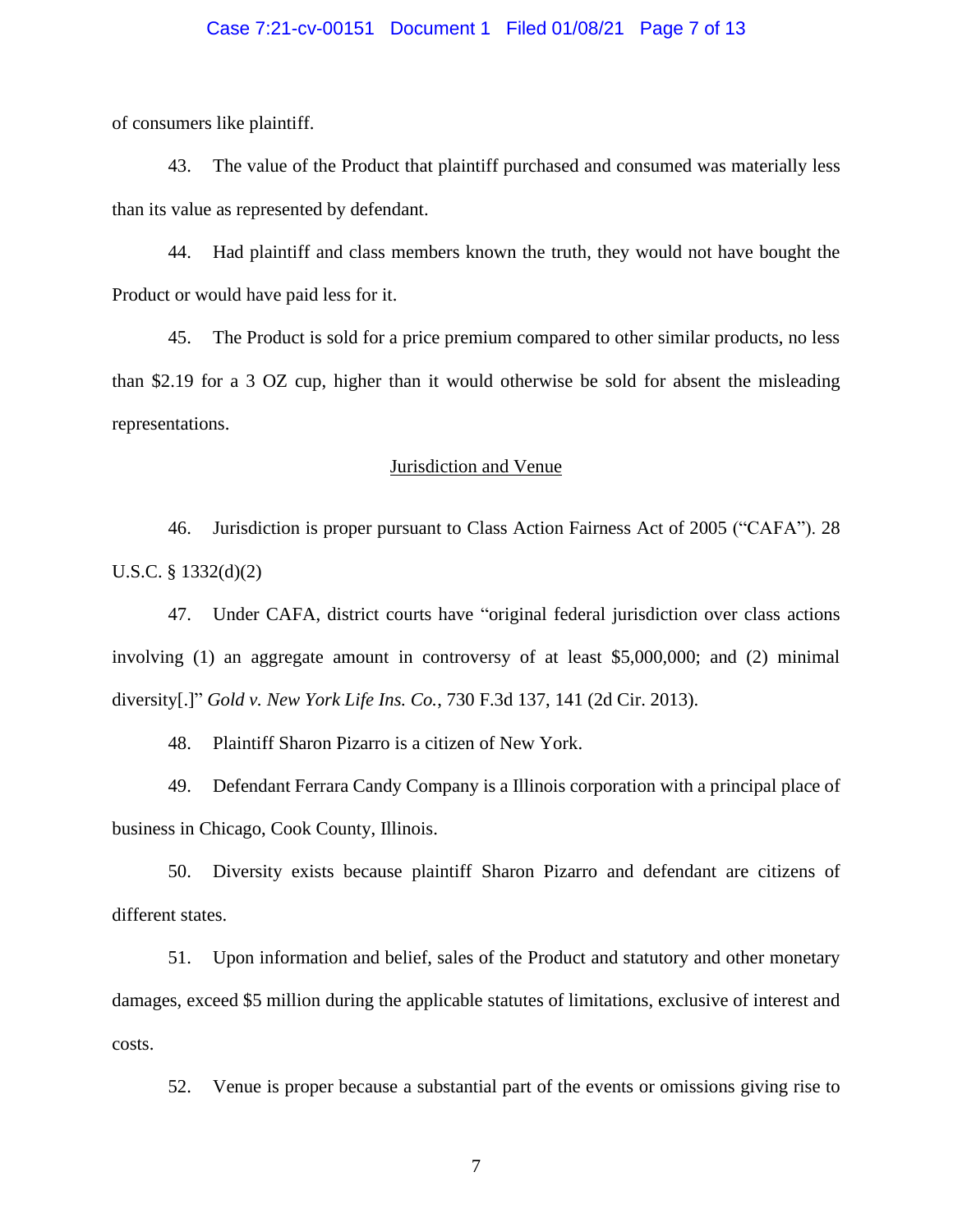### Case 7:21-cv-00151 Document 1 Filed 01/08/21 Page 7 of 13

of consumers like plaintiff.

43. The value of the Product that plaintiff purchased and consumed was materially less than its value as represented by defendant.

44. Had plaintiff and class members known the truth, they would not have bought the Product or would have paid less for it.

45. The Product is sold for a price premium compared to other similar products, no less than \$2.19 for a 3 OZ cup, higher than it would otherwise be sold for absent the misleading representations.

### Jurisdiction and Venue

46. Jurisdiction is proper pursuant to Class Action Fairness Act of 2005 ("CAFA"). 28 U.S.C. § 1332(d)(2)

47. Under CAFA, district courts have "original federal jurisdiction over class actions involving (1) an aggregate amount in controversy of at least \$5,000,000; and (2) minimal diversity[.]" *Gold v. New York Life Ins. Co.*, 730 F.3d 137, 141 (2d Cir. 2013).

48. Plaintiff Sharon Pizarro is a citizen of New York.

49. Defendant Ferrara Candy Company is a Illinois corporation with a principal place of business in Chicago, Cook County, Illinois.

50. Diversity exists because plaintiff Sharon Pizarro and defendant are citizens of different states.

51. Upon information and belief, sales of the Product and statutory and other monetary damages, exceed \$5 million during the applicable statutes of limitations, exclusive of interest and costs.

52. Venue is proper because a substantial part of the events or omissions giving rise to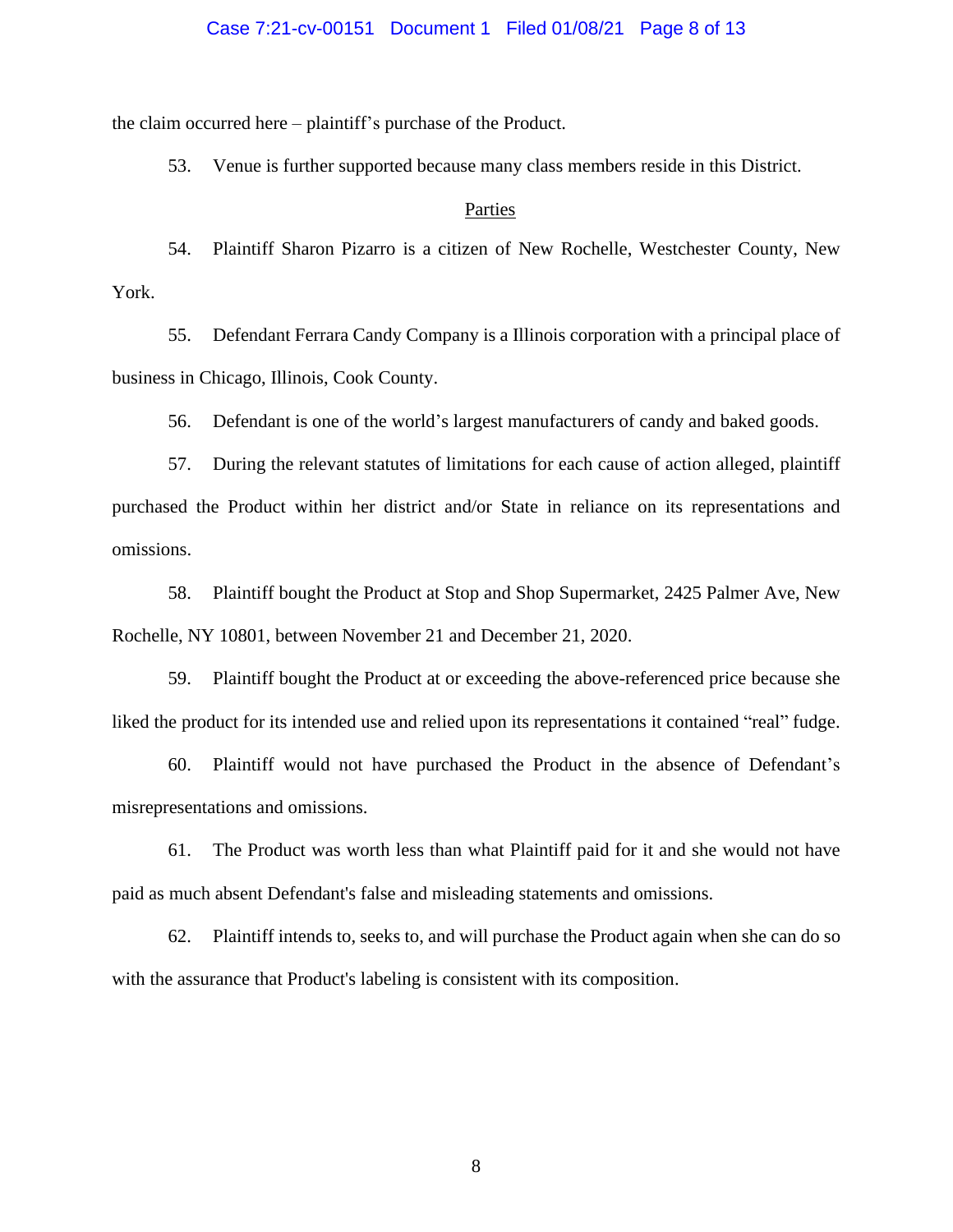### Case 7:21-cv-00151 Document 1 Filed 01/08/21 Page 8 of 13

the claim occurred here – plaintiff's purchase of the Product.

53. Venue is further supported because many class members reside in this District.

### Parties

54. Plaintiff Sharon Pizarro is a citizen of New Rochelle, Westchester County, New York.

55. Defendant Ferrara Candy Company is a Illinois corporation with a principal place of business in Chicago, Illinois, Cook County.

56. Defendant is one of the world's largest manufacturers of candy and baked goods.

57. During the relevant statutes of limitations for each cause of action alleged, plaintiff purchased the Product within her district and/or State in reliance on its representations and omissions.

58. Plaintiff bought the Product at Stop and Shop Supermarket, 2425 Palmer Ave, New Rochelle, NY 10801, between November 21 and December 21, 2020.

59. Plaintiff bought the Product at or exceeding the above-referenced price because she liked the product for its intended use and relied upon its representations it contained "real" fudge.

60. Plaintiff would not have purchased the Product in the absence of Defendant's misrepresentations and omissions.

61. The Product was worth less than what Plaintiff paid for it and she would not have paid as much absent Defendant's false and misleading statements and omissions.

62. Plaintiff intends to, seeks to, and will purchase the Product again when she can do so with the assurance that Product's labeling is consistent with its composition.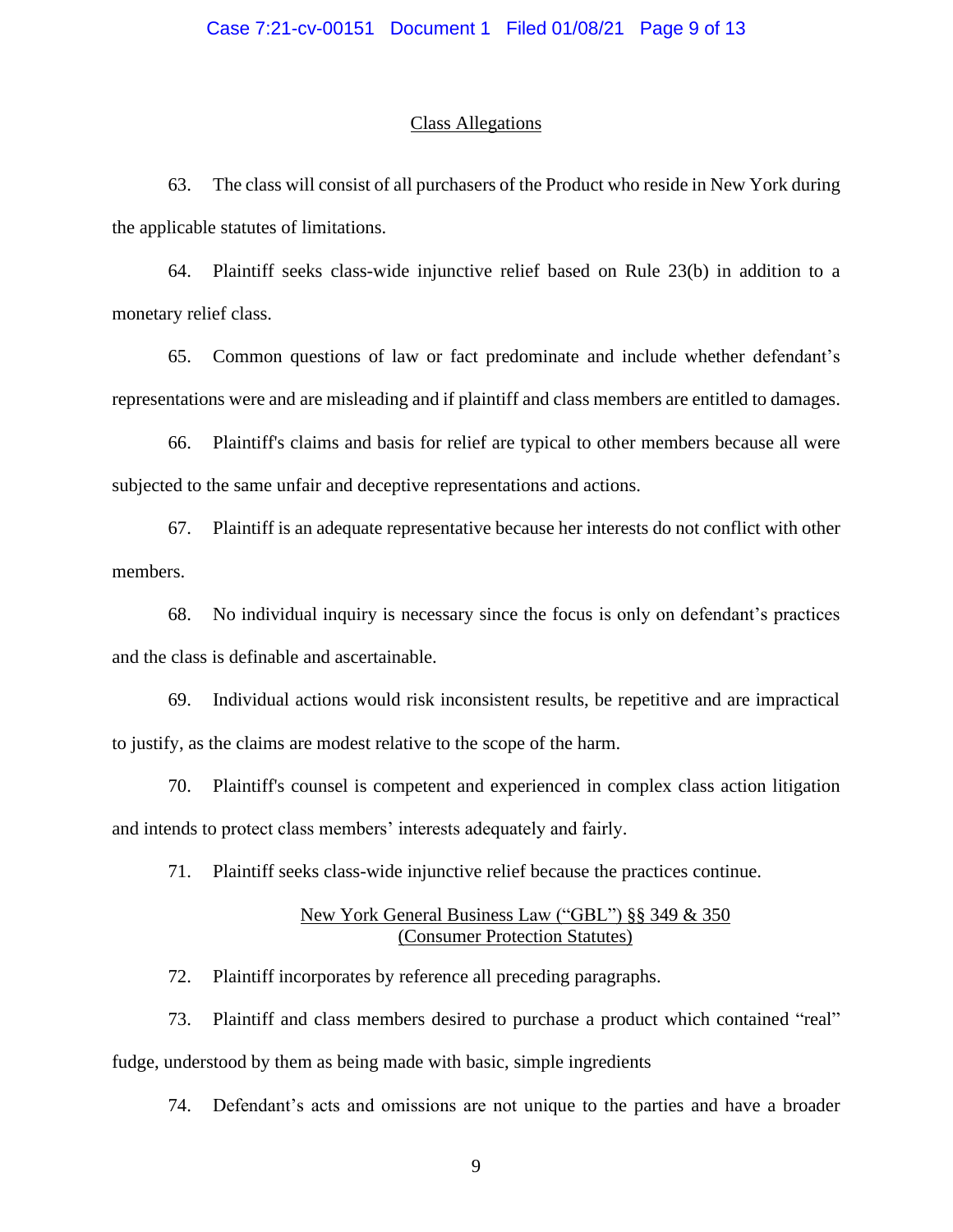#### Class Allegations

63. The class will consist of all purchasers of the Product who reside in New York during the applicable statutes of limitations.

64. Plaintiff seeks class-wide injunctive relief based on Rule 23(b) in addition to a monetary relief class.

65. Common questions of law or fact predominate and include whether defendant's representations were and are misleading and if plaintiff and class members are entitled to damages.

66. Plaintiff's claims and basis for relief are typical to other members because all were subjected to the same unfair and deceptive representations and actions.

67. Plaintiff is an adequate representative because her interests do not conflict with other members.

68. No individual inquiry is necessary since the focus is only on defendant's practices and the class is definable and ascertainable.

69. Individual actions would risk inconsistent results, be repetitive and are impractical to justify, as the claims are modest relative to the scope of the harm.

70. Plaintiff's counsel is competent and experienced in complex class action litigation and intends to protect class members' interests adequately and fairly.

71. Plaintiff seeks class-wide injunctive relief because the practices continue.

### New York General Business Law ("GBL") §§ 349 & 350 (Consumer Protection Statutes)

72. Plaintiff incorporates by reference all preceding paragraphs.

73. Plaintiff and class members desired to purchase a product which contained "real" fudge, understood by them as being made with basic, simple ingredients

74. Defendant's acts and omissions are not unique to the parties and have a broader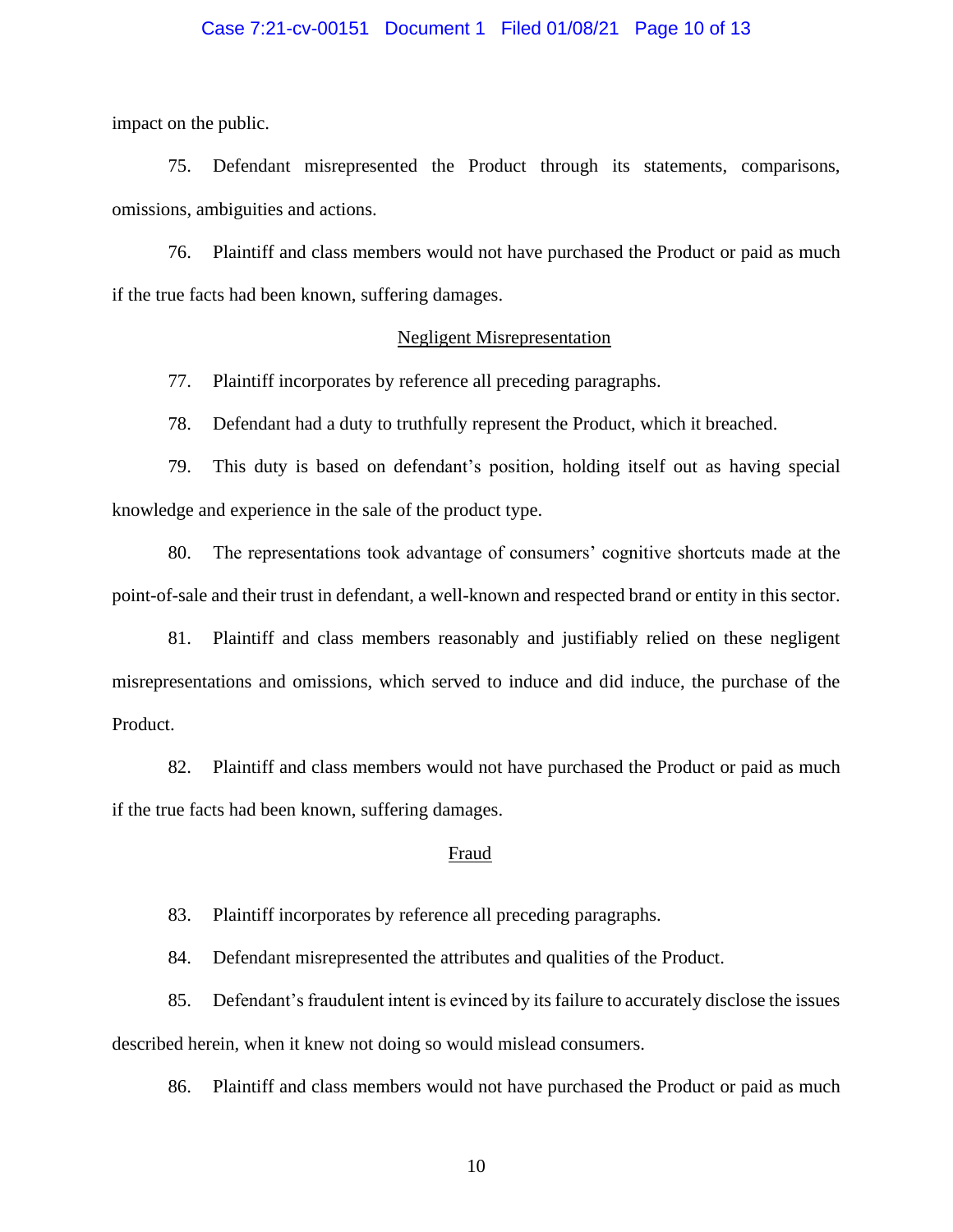### Case 7:21-cv-00151 Document 1 Filed 01/08/21 Page 10 of 13

impact on the public.

75. Defendant misrepresented the Product through its statements, comparisons, omissions, ambiguities and actions.

76. Plaintiff and class members would not have purchased the Product or paid as much if the true facts had been known, suffering damages.

### Negligent Misrepresentation

77. Plaintiff incorporates by reference all preceding paragraphs.

78. Defendant had a duty to truthfully represent the Product, which it breached.

79. This duty is based on defendant's position, holding itself out as having special knowledge and experience in the sale of the product type.

80. The representations took advantage of consumers' cognitive shortcuts made at the point-of-sale and their trust in defendant, a well-known and respected brand or entity in this sector.

81. Plaintiff and class members reasonably and justifiably relied on these negligent misrepresentations and omissions, which served to induce and did induce, the purchase of the Product.

82. Plaintiff and class members would not have purchased the Product or paid as much if the true facts had been known, suffering damages.

#### Fraud

83. Plaintiff incorporates by reference all preceding paragraphs.

84. Defendant misrepresented the attributes and qualities of the Product.

85. Defendant's fraudulent intent is evinced by its failure to accurately disclose the issues described herein, when it knew not doing so would mislead consumers.

86. Plaintiff and class members would not have purchased the Product or paid as much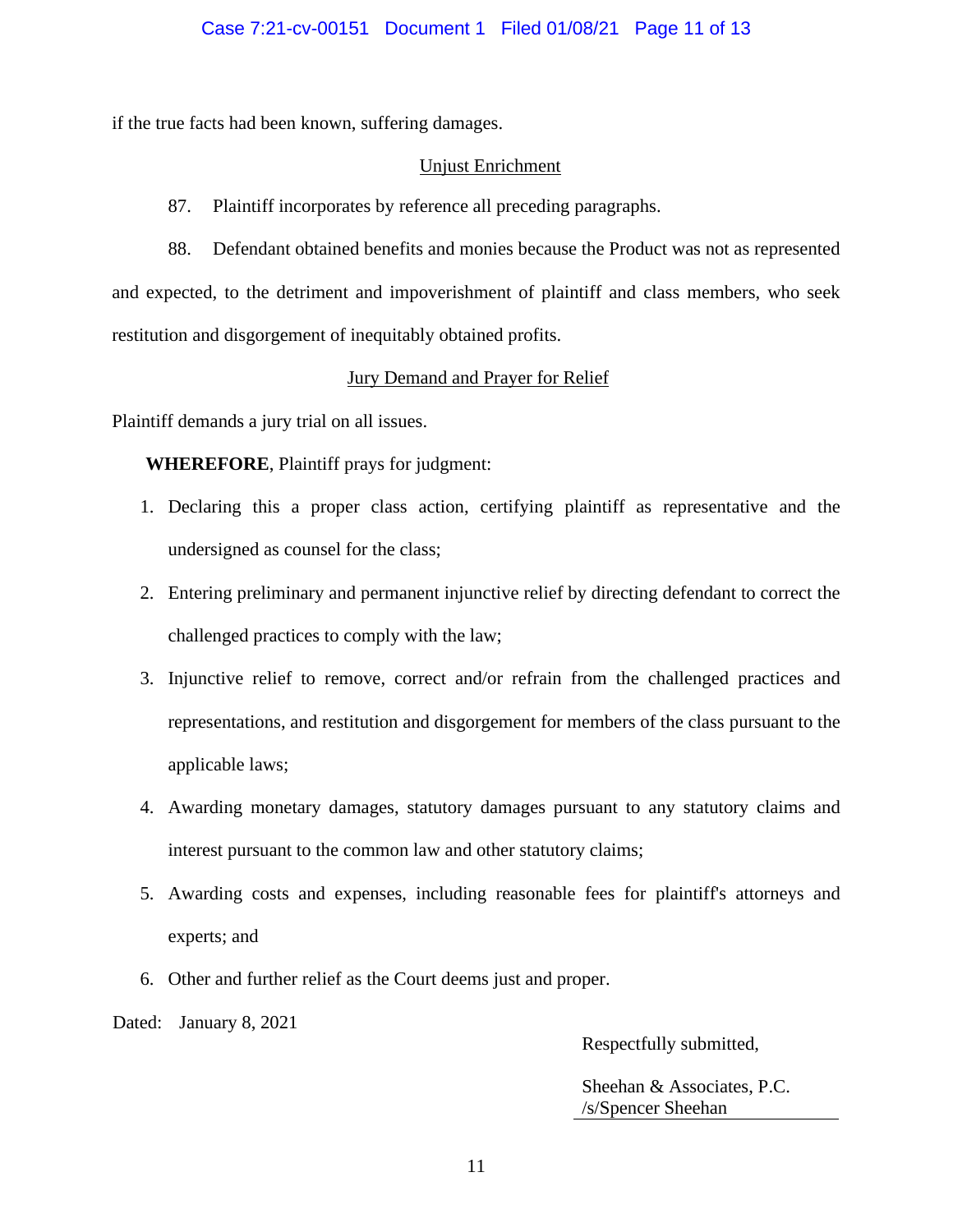if the true facts had been known, suffering damages.

### Unjust Enrichment

87. Plaintiff incorporates by reference all preceding paragraphs.

88. Defendant obtained benefits and monies because the Product was not as represented and expected, to the detriment and impoverishment of plaintiff and class members, who seek restitution and disgorgement of inequitably obtained profits.

## Jury Demand and Prayer for Relief

Plaintiff demands a jury trial on all issues.

**WHEREFORE**, Plaintiff prays for judgment:

- 1. Declaring this a proper class action, certifying plaintiff as representative and the undersigned as counsel for the class;
- 2. Entering preliminary and permanent injunctive relief by directing defendant to correct the challenged practices to comply with the law;
- 3. Injunctive relief to remove, correct and/or refrain from the challenged practices and representations, and restitution and disgorgement for members of the class pursuant to the applicable laws;
- 4. Awarding monetary damages, statutory damages pursuant to any statutory claims and interest pursuant to the common law and other statutory claims;
- 5. Awarding costs and expenses, including reasonable fees for plaintiff's attorneys and experts; and
- 6. Other and further relief as the Court deems just and proper.

Dated: January 8, 2021

Respectfully submitted,

Sheehan & Associates, P.C. /s/Spencer Sheehan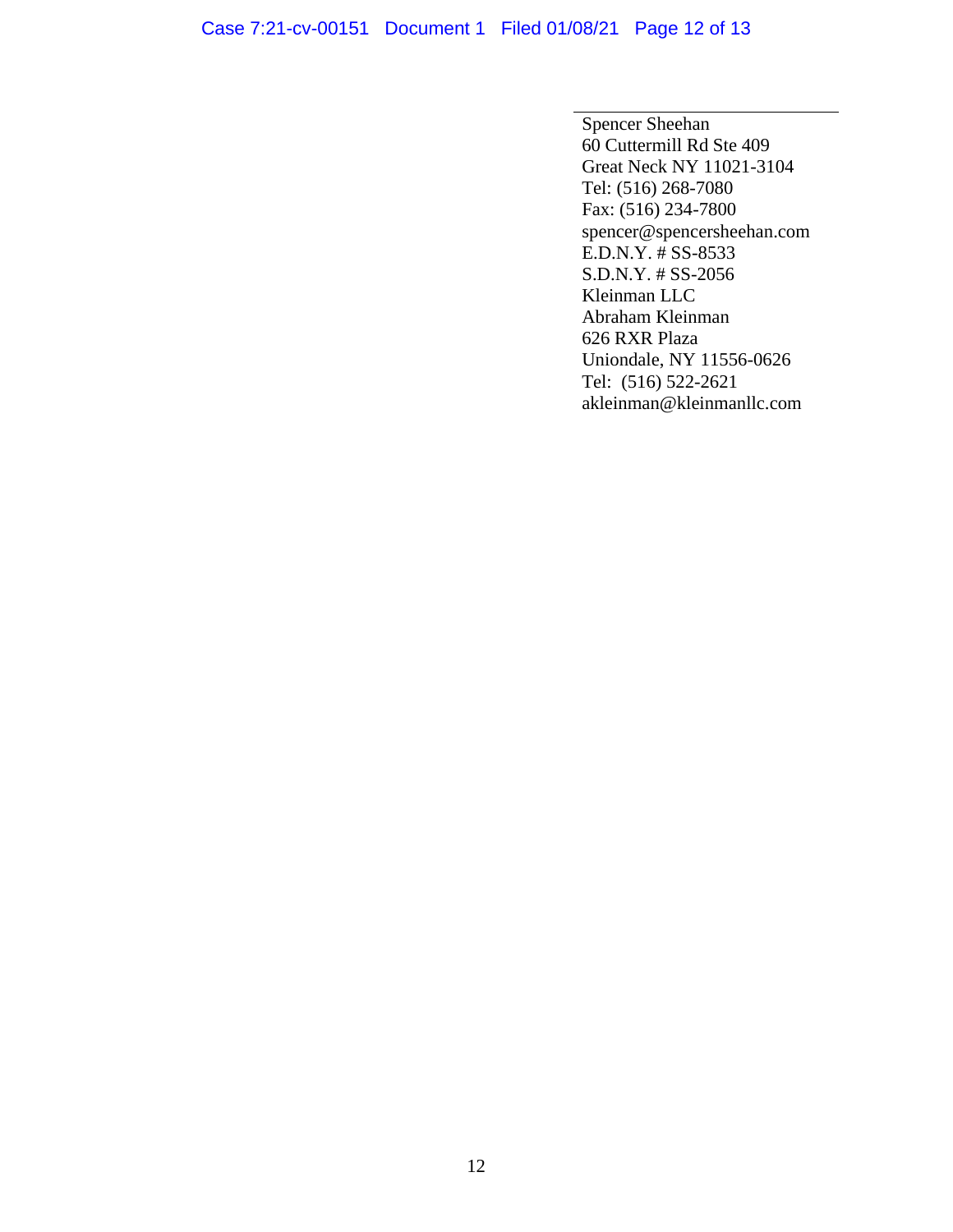# Case 7:21-cv-00151 Document 1 Filed 01/08/21 Page 12 of 13

Spencer Sheehan 60 Cuttermill Rd Ste 409 Great Neck NY 11021-3104 Tel: (516) 268-7080 Fax: (516) 234-7800 spencer@spencersheehan.com E.D.N.Y. # SS-8533 S.D.N.Y. # SS-2056 Kleinman LLC Abraham Kleinman 626 RXR Plaza Uniondale, NY 11556-0626 Tel: (516) 522-2621 akleinman@kleinmanllc.com